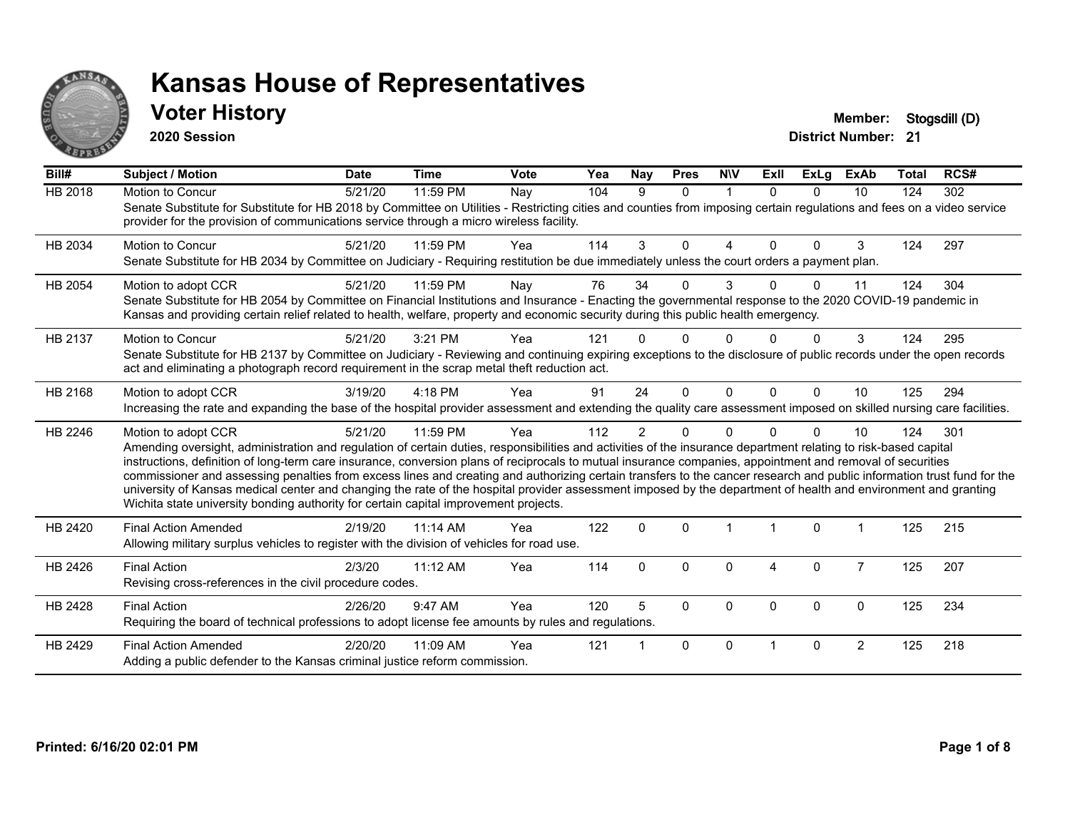

#### **Voter History Member: Stogsdill** (D)

**2020 Session**

| Bill#          | <b>Subject / Motion</b>                                                                                                                                                                                                                                                                                                                                                                                                                                                                                                                                                                                                                                                                                                                                                                  | <b>Date</b> | <b>Time</b> | Vote | Yea | Nay            | <b>Pres</b>  | <b>NIV</b>   | ExII     | <b>ExLg</b>  | <b>ExAb</b>    | Total | RCS# |
|----------------|------------------------------------------------------------------------------------------------------------------------------------------------------------------------------------------------------------------------------------------------------------------------------------------------------------------------------------------------------------------------------------------------------------------------------------------------------------------------------------------------------------------------------------------------------------------------------------------------------------------------------------------------------------------------------------------------------------------------------------------------------------------------------------------|-------------|-------------|------|-----|----------------|--------------|--------------|----------|--------------|----------------|-------|------|
| <b>HB 2018</b> | Motion to Concur<br>Senate Substitute for Substitute for HB 2018 by Committee on Utilities - Restricting cities and counties from imposing certain regulations and fees on a video service<br>provider for the provision of communications service through a micro wireless facility.                                                                                                                                                                                                                                                                                                                                                                                                                                                                                                    | 5/21/20     | 11:59 PM    | Nay  | 104 | 9              | $\mathbf{0}$ | $\mathbf{1}$ | $\Omega$ | $\Omega$     | 10             | 124   | 302  |
| HB 2034        | <b>Motion to Concur</b><br>Senate Substitute for HB 2034 by Committee on Judiciary - Requiring restitution be due immediately unless the court orders a payment plan.                                                                                                                                                                                                                                                                                                                                                                                                                                                                                                                                                                                                                    | 5/21/20     | 11:59 PM    | Yea  | 114 | 3              | $\Omega$     | 4            | 0        | $\Omega$     | 3              | 124   | 297  |
| HB 2054        | Motion to adopt CCR<br>Senate Substitute for HB 2054 by Committee on Financial Institutions and Insurance - Enacting the governmental response to the 2020 COVID-19 pandemic in<br>Kansas and providing certain relief related to health, welfare, property and economic security during this public health emergency.                                                                                                                                                                                                                                                                                                                                                                                                                                                                   | 5/21/20     | 11:59 PM    | Nay  | 76  | 34             | 0            | 3            | U        | $\Omega$     | 11             | 124   | 304  |
| HB 2137        | Motion to Concur<br>Senate Substitute for HB 2137 by Committee on Judiciary - Reviewing and continuing expiring exceptions to the disclosure of public records under the open records<br>act and eliminating a photograph record requirement in the scrap metal theft reduction act.                                                                                                                                                                                                                                                                                                                                                                                                                                                                                                     | 5/21/20     | $3:21$ PM   | Yea  | 121 |                | $\Omega$     |              |          | $\Omega$     | 3              | 124   | 295  |
| HB 2168        | Motion to adopt CCR<br>Increasing the rate and expanding the base of the hospital provider assessment and extending the quality care assessment imposed on skilled nursing care facilities.                                                                                                                                                                                                                                                                                                                                                                                                                                                                                                                                                                                              | 3/19/20     | 4:18 PM     | Yea  | 91  | 24             | $\Omega$     | $\Omega$     | $\Omega$ | $\Omega$     | 10             | 125   | 294  |
| HB 2246        | Motion to adopt CCR<br>Amending oversight, administration and regulation of certain duties, responsibilities and activities of the insurance department relating to risk-based capital<br>instructions, definition of long-term care insurance, conversion plans of reciprocals to mutual insurance companies, appointment and removal of securities<br>commissioner and assessing penalties from excess lines and creating and authorizing certain transfers to the cancer research and public information trust fund for the<br>university of Kansas medical center and changing the rate of the hospital provider assessment imposed by the department of health and environment and granting<br>Wichita state university bonding authority for certain capital improvement projects. | 5/21/20     | 11:59 PM    | Yea  | 112 | $\overline{2}$ | $\Omega$     | $\Omega$     |          | <sup>0</sup> | 10             | 124   | 301  |
| HB 2420        | <b>Final Action Amended</b><br>Allowing military surplus vehicles to register with the division of vehicles for road use.                                                                                                                                                                                                                                                                                                                                                                                                                                                                                                                                                                                                                                                                | 2/19/20     | 11:14 AM    | Yea  | 122 | 0              | $\mathbf{0}$ |              |          | $\Omega$     | 1              | 125   | 215  |
| HB 2426        | <b>Final Action</b><br>Revising cross-references in the civil procedure codes.                                                                                                                                                                                                                                                                                                                                                                                                                                                                                                                                                                                                                                                                                                           | 2/3/20      | $11:12$ AM  | Yea  | 114 | 0              | $\Omega$     | $\Omega$     | 4        | $\Omega$     | $\overline{7}$ | 125   | 207  |
| HB 2428        | <b>Final Action</b><br>Requiring the board of technical professions to adopt license fee amounts by rules and regulations.                                                                                                                                                                                                                                                                                                                                                                                                                                                                                                                                                                                                                                                               | 2/26/20     | 9:47 AM     | Yea  | 120 | 5              | $\Omega$     | $\Omega$     | $\Omega$ | $\Omega$     | $\Omega$       | 125   | 234  |
| HB 2429        | <b>Final Action Amended</b><br>Adding a public defender to the Kansas criminal justice reform commission.                                                                                                                                                                                                                                                                                                                                                                                                                                                                                                                                                                                                                                                                                | 2/20/20     | 11:09 AM    | Yea  | 121 |                | $\Omega$     | $\Omega$     |          | $\Omega$     | $\overline{2}$ | 125   | 218  |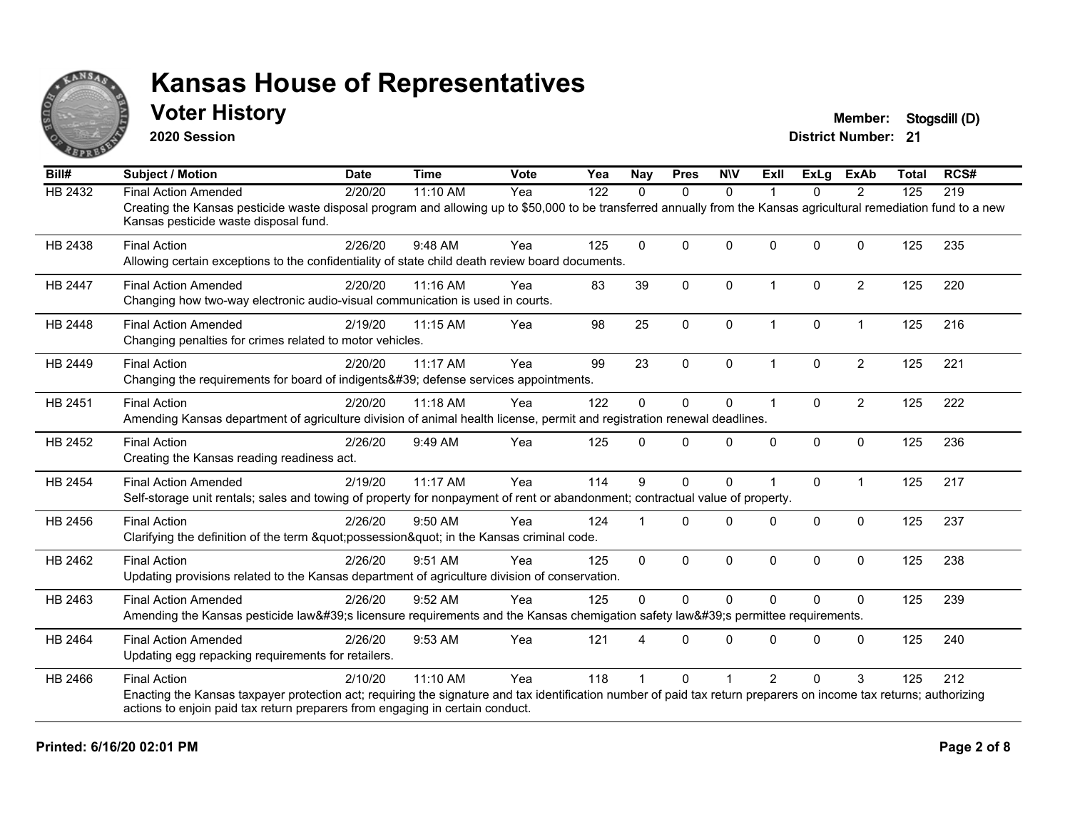

#### **Voter History Member: Stogsdill** (D)

**2020 Session**

| Bill#          | <b>Subject / Motion</b>                                                                                                                                                                                     | <b>Date</b> | <b>Time</b> | Vote | Yea | Nay          | <b>Pres</b>  | <b>NIV</b>   | ExII                 | ExLa         | <b>ExAb</b>    | <b>Total</b> | RCS# |
|----------------|-------------------------------------------------------------------------------------------------------------------------------------------------------------------------------------------------------------|-------------|-------------|------|-----|--------------|--------------|--------------|----------------------|--------------|----------------|--------------|------|
| HB 2432        | <b>Final Action Amended</b>                                                                                                                                                                                 | 2/20/20     | $11:10$ AM  | Yea  | 122 | $\Omega$     | $\mathbf{0}$ | $\Omega$     | 1                    | $\Omega$     | 2              | 125          | 219  |
|                | Creating the Kansas pesticide waste disposal program and allowing up to \$50,000 to be transferred annually from the Kansas agricultural remediation fund to a new<br>Kansas pesticide waste disposal fund. |             |             |      |     |              |              |              |                      |              |                |              |      |
| HB 2438        | <b>Final Action</b>                                                                                                                                                                                         | 2/26/20     | 9:48 AM     | Yea  | 125 | $\Omega$     | $\Omega$     | $\mathbf 0$  | $\Omega$             | $\Omega$     | $\Omega$       | 125          | 235  |
|                | Allowing certain exceptions to the confidentiality of state child death review board documents.                                                                                                             |             |             |      |     |              |              |              |                      |              |                |              |      |
| <b>HB 2447</b> | <b>Final Action Amended</b>                                                                                                                                                                                 | 2/20/20     | 11:16 AM    | Yea  | 83  | 39           | $\mathbf{0}$ | $\Omega$     | $\blacktriangleleft$ | $\Omega$     | $\overline{2}$ | 125          | 220  |
|                | Changing how two-way electronic audio-visual communication is used in courts.                                                                                                                               |             |             |      |     |              |              |              |                      |              |                |              |      |
| HB 2448        | <b>Final Action Amended</b>                                                                                                                                                                                 | 2/19/20     | 11:15 AM    | Yea  | 98  | 25           | $\mathbf 0$  | $\mathbf 0$  | $\mathbf{1}$         | $\mathbf 0$  | $\mathbf{1}$   | 125          | 216  |
|                | Changing penalties for crimes related to motor vehicles.                                                                                                                                                    |             |             |      |     |              |              |              |                      |              |                |              |      |
| HB 2449        | <b>Final Action</b>                                                                                                                                                                                         | 2/20/20     | 11:17 AM    | Yea  | 99  | 23           | $\Omega$     | 0            |                      | $\Omega$     | $\overline{2}$ | 125          | 221  |
|                | Changing the requirements for board of indigents' defense services appointments.                                                                                                                            |             |             |      |     |              |              |              |                      |              |                |              |      |
| HB 2451        | <b>Final Action</b>                                                                                                                                                                                         | 2/20/20     | 11:18 AM    | Yea  | 122 | 0            | $\Omega$     | 0            | $\blacktriangleleft$ | $\mathbf{0}$ | $\overline{2}$ | 125          | 222  |
|                | Amending Kansas department of agriculture division of animal health license, permit and registration renewal deadlines.                                                                                     |             |             |      |     |              |              |              |                      |              |                |              |      |
| HB 2452        | <b>Final Action</b>                                                                                                                                                                                         | 2/26/20     | 9:49 AM     | Yea  | 125 | $\Omega$     | $\Omega$     | $\mathbf{0}$ | $\Omega$             | $\Omega$     | $\mathbf{0}$   | 125          | 236  |
|                | Creating the Kansas reading readiness act.                                                                                                                                                                  |             |             |      |     |              |              |              |                      |              |                |              |      |
| <b>HB 2454</b> | <b>Final Action Amended</b>                                                                                                                                                                                 | 2/19/20     | 11:17 AM    | Yea  | 114 | 9            | $\Omega$     | $\mathbf 0$  |                      | $\Omega$     | $\overline{1}$ | 125          | 217  |
|                | Self-storage unit rentals; sales and towing of property for nonpayment of rent or abandonment; contractual value of property.                                                                               |             |             |      |     |              |              |              |                      |              |                |              |      |
| HB 2456        | <b>Final Action</b>                                                                                                                                                                                         | 2/26/20     | 9:50 AM     | Yea  | 124 |              | $\Omega$     | $\mathbf{0}$ | $\Omega$             | $\mathbf{0}$ | $\mathbf{0}$   | 125          | 237  |
|                | Clarifying the definition of the term "possession" in the Kansas criminal code.                                                                                                                             |             |             |      |     |              |              |              |                      |              |                |              |      |
| HB 2462        | <b>Final Action</b>                                                                                                                                                                                         | 2/26/20     | 9:51 AM     | Yea  | 125 | $\mathbf{0}$ | $\Omega$     | $\Omega$     | $\Omega$             | $\Omega$     | $\Omega$       | 125          | 238  |
|                | Updating provisions related to the Kansas department of agriculture division of conservation.                                                                                                               |             |             |      |     |              |              |              |                      |              |                |              |      |
| HB 2463        | <b>Final Action Amended</b>                                                                                                                                                                                 | 2/26/20     | 9:52 AM     | Yea  | 125 | $\Omega$     | $\Omega$     | $\Omega$     | $\Omega$             | $\Omega$     | $\Omega$       | 125          | 239  |
|                | Amending the Kansas pesticide law's licensure requirements and the Kansas chemigation safety law's permittee requirements.                                                                                  |             |             |      |     |              |              |              |                      |              |                |              |      |
| HB 2464        | <b>Final Action Amended</b>                                                                                                                                                                                 | 2/26/20     | 9:53 AM     | Yea  | 121 | Δ            | $\Omega$     | $\mathbf{0}$ | $\Omega$             | $\mathbf{0}$ | $\Omega$       | 125          | 240  |
|                | Updating egg repacking requirements for retailers.                                                                                                                                                          |             |             |      |     |              |              |              |                      |              |                |              |      |
| HB 2466        | <b>Final Action</b>                                                                                                                                                                                         | 2/10/20     | 11:10 AM    | Yea  | 118 |              | $\Omega$     |              | $\mathcal{P}$        | $\Omega$     | 3              | 125          | 212  |
|                | Enacting the Kansas taxpayer protection act; requiring the signature and tax identification number of paid tax return preparers on income tax returns; authorizing                                          |             |             |      |     |              |              |              |                      |              |                |              |      |
|                | actions to enjoin paid tax return preparers from engaging in certain conduct.                                                                                                                               |             |             |      |     |              |              |              |                      |              |                |              |      |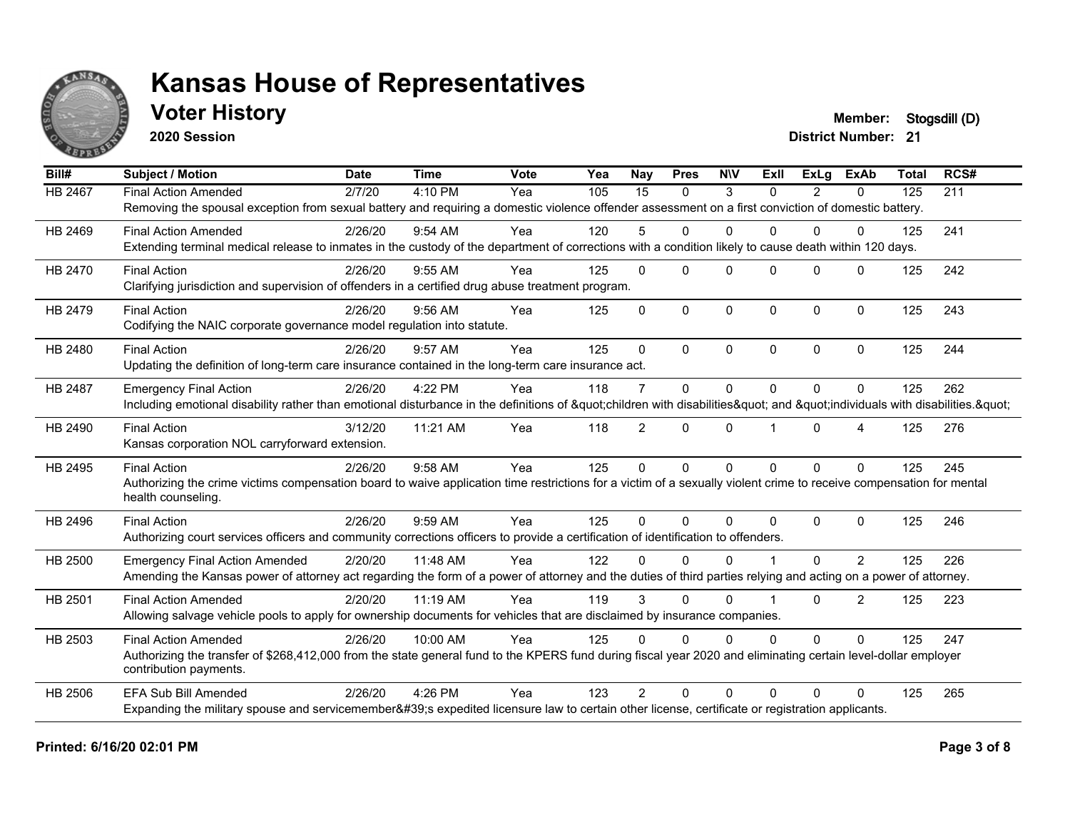

### **Voter History Member: Stogsdill** (D)

**2020 Session**

| Bill#          | <b>Subject / Motion</b>                                                                                                                                                                 | <b>Date</b> | <b>Time</b> | <b>Vote</b> | Yea | Nav             | <b>Pres</b>  | <b>NIV</b>   | ExII     | ExLa     | <b>ExAb</b>    | <b>Total</b> | RCS# |
|----------------|-----------------------------------------------------------------------------------------------------------------------------------------------------------------------------------------|-------------|-------------|-------------|-----|-----------------|--------------|--------------|----------|----------|----------------|--------------|------|
| <b>HB 2467</b> | <b>Final Action Amended</b>                                                                                                                                                             | 2/7/20      | 4:10 PM     | Yea         | 105 | $\overline{15}$ | $\Omega$     | 3            | $\Omega$ | 2        | 0              | 125          | 211  |
|                | Removing the spousal exception from sexual battery and requiring a domestic violence offender assessment on a first conviction of domestic battery.                                     |             |             |             |     |                 |              |              |          |          |                |              |      |
| HB 2469        | <b>Final Action Amended</b>                                                                                                                                                             | 2/26/20     | 9:54 AM     | Yea         | 120 | 5               | $\Omega$     | $\Omega$     | $\Omega$ | $\Omega$ | $\Omega$       | 125          | 241  |
|                | Extending terminal medical release to inmates in the custody of the department of corrections with a condition likely to cause death within 120 days.                                   |             |             |             |     |                 |              |              |          |          |                |              |      |
| HB 2470        | <b>Final Action</b>                                                                                                                                                                     | 2/26/20     | 9:55 AM     | Yea         | 125 | $\Omega$        | $\Omega$     | $\Omega$     | $\Omega$ | $\Omega$ | $\Omega$       | 125          | 242  |
|                | Clarifying jurisdiction and supervision of offenders in a certified drug abuse treatment program.                                                                                       |             |             |             |     |                 |              |              |          |          |                |              |      |
| HB 2479        | <b>Final Action</b>                                                                                                                                                                     | 2/26/20     | $9:56$ AM   | Yea         | 125 | $\Omega$        | $\Omega$     | $\mathbf{0}$ | $\Omega$ | $\Omega$ | $\mathbf{0}$   | 125          | 243  |
|                | Codifying the NAIC corporate governance model regulation into statute.                                                                                                                  |             |             |             |     |                 |              |              |          |          |                |              |      |
| HB 2480        | <b>Final Action</b>                                                                                                                                                                     | 2/26/20     | 9:57 AM     | Yea         | 125 | $\Omega$        | $\Omega$     | $\Omega$     | $\Omega$ | $\Omega$ | $\Omega$       | 125          | 244  |
|                | Updating the definition of long-term care insurance contained in the long-term care insurance act.                                                                                      |             |             |             |     |                 |              |              |          |          |                |              |      |
| <b>HB 2487</b> | <b>Emergency Final Action</b>                                                                                                                                                           | 2/26/20     | 4:22 PM     | Yea         | 118 | $\overline{7}$  | $\mathbf 0$  | $\mathbf{0}$ | $\Omega$ | $\Omega$ | $\Omega$       | 125          | 262  |
|                | Including emotional disability rather than emotional disturbance in the definitions of "children with disabilities" and "individuals with disabilities. "                               |             |             |             |     |                 |              |              |          |          |                |              |      |
| HB 2490        | <b>Final Action</b>                                                                                                                                                                     | 3/12/20     | 11:21 AM    | Yea         | 118 | $\overline{2}$  | $\Omega$     | $\mathbf{0}$ |          | $\Omega$ | 4              | 125          | 276  |
|                | Kansas corporation NOL carryforward extension.                                                                                                                                          |             |             |             |     |                 |              |              |          |          |                |              |      |
| HB 2495        | <b>Final Action</b>                                                                                                                                                                     | 2/26/20     | 9:58 AM     | Yea         | 125 | $\Omega$        | $\mathbf{0}$ | $\mathbf{0}$ | $\Omega$ | $\Omega$ | $\Omega$       | 125          | 245  |
|                | Authorizing the crime victims compensation board to waive application time restrictions for a victim of a sexually violent crime to receive compensation for mental                     |             |             |             |     |                 |              |              |          |          |                |              |      |
|                | health counseling.                                                                                                                                                                      |             |             |             |     |                 |              |              |          |          |                |              |      |
| HB 2496        | <b>Final Action</b>                                                                                                                                                                     | 2/26/20     | 9:59 AM     | Yea         | 125 | $\Omega$        | $\mathbf 0$  | $\Omega$     | $\Omega$ | $\Omega$ | $\Omega$       | 125          | 246  |
|                | Authorizing court services officers and community corrections officers to provide a certification of identification to offenders.                                                       |             |             |             |     |                 |              |              |          |          |                |              |      |
| HB 2500        | <b>Emergency Final Action Amended</b>                                                                                                                                                   | 2/20/20     | 11:48 AM    | Yea         | 122 | $\Omega$        | $\Omega$     | $\Omega$     |          | $\Omega$ | 2              | 125          | 226  |
|                | Amending the Kansas power of attorney act regarding the form of a power of attorney and the duties of third parties relying and acting on a power of attorney.                          |             |             |             |     |                 |              |              |          |          |                |              |      |
| HB 2501        | <b>Final Action Amended</b>                                                                                                                                                             | 2/20/20     | 11:19 AM    | Yea         | 119 | 3               | $\Omega$     | $\Omega$     |          | $\Omega$ | $\overline{2}$ | 125          | 223  |
|                | Allowing salvage vehicle pools to apply for ownership documents for vehicles that are disclaimed by insurance companies.                                                                |             |             |             |     |                 |              |              |          |          |                |              |      |
| HB 2503        | <b>Final Action Amended</b>                                                                                                                                                             | 2/26/20     | 10:00 AM    | Yea         | 125 | $\Omega$        | $\Omega$     | $\Omega$     | $\Omega$ | $\Omega$ | $\Omega$       | 125          | 247  |
|                | Authorizing the transfer of \$268,412,000 from the state general fund to the KPERS fund during fiscal year 2020 and eliminating certain level-dollar employer<br>contribution payments. |             |             |             |     |                 |              |              |          |          |                |              |      |
| HB 2506        | <b>EFA Sub Bill Amended</b>                                                                                                                                                             | 2/26/20     | 4:26 PM     | Yea         | 123 | $\mathcal{P}$   | $\Omega$     | $\Omega$     | 0        | $\Omega$ | $\Omega$       | 125          | 265  |
|                | Expanding the military spouse and servicemember's expedited licensure law to certain other license, certificate or registration applicants.                                             |             |             |             |     |                 |              |              |          |          |                |              |      |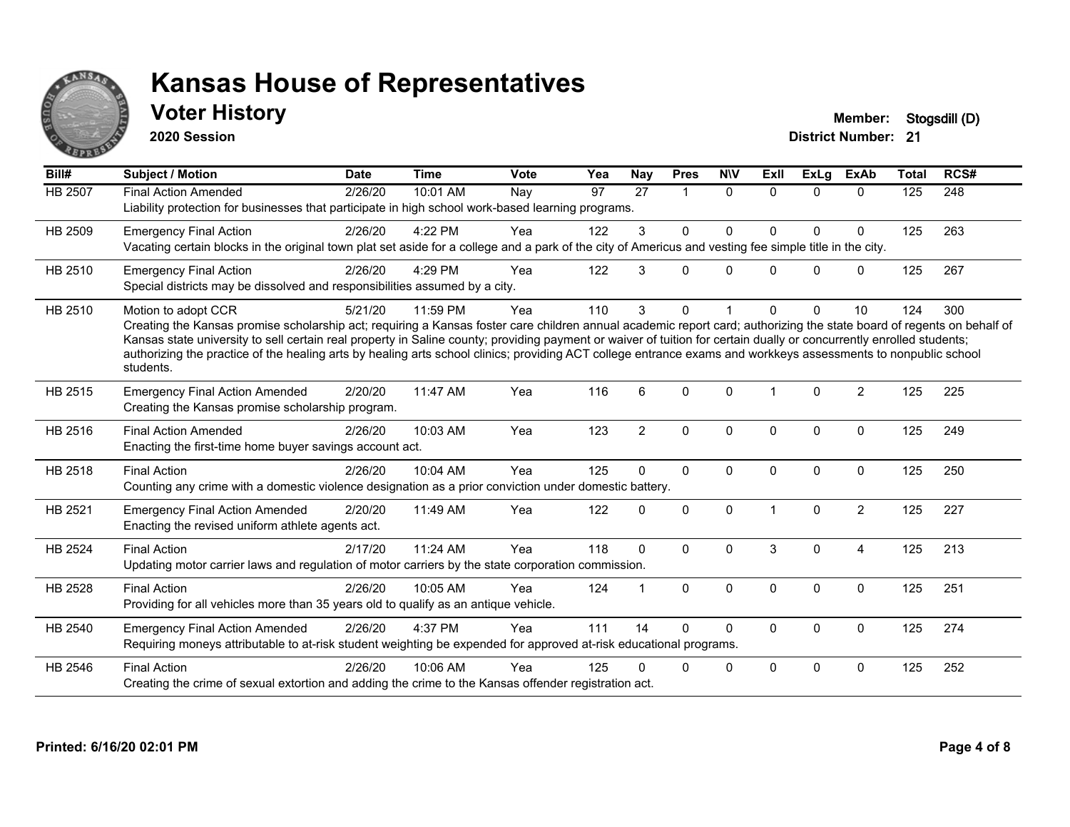

### **Voter History Member: Stogsdill** (D)

**2020 Session**

| Bill#          | Subject / Motion                                                                                                                                                                                                                                                                                                                                                                                                                                                                                                                                    | <b>Date</b> | <b>Time</b> | <b>Vote</b> | Yea | Nay             | <b>Pres</b>    | <b>NIV</b>   | Exll        | <b>ExLg</b>  | <b>ExAb</b>    | <b>Total</b> | RCS# |
|----------------|-----------------------------------------------------------------------------------------------------------------------------------------------------------------------------------------------------------------------------------------------------------------------------------------------------------------------------------------------------------------------------------------------------------------------------------------------------------------------------------------------------------------------------------------------------|-------------|-------------|-------------|-----|-----------------|----------------|--------------|-------------|--------------|----------------|--------------|------|
| <b>HB 2507</b> | <b>Final Action Amended</b><br>Liability protection for businesses that participate in high school work-based learning programs.                                                                                                                                                                                                                                                                                                                                                                                                                    | 2/26/20     | 10:01 AM    | Nay         | 97  | $\overline{27}$ | $\overline{1}$ | $\Omega$     | $\Omega$    | $\Omega$     | $\Omega$       | 125          | 248  |
| HB 2509        | <b>Emergency Final Action</b><br>Vacating certain blocks in the original town plat set aside for a college and a park of the city of Americus and vesting fee simple title in the city.                                                                                                                                                                                                                                                                                                                                                             | 2/26/20     | 4:22 PM     | Yea         | 122 | 3               | $\Omega$       | 0            | U           | $\mathbf 0$  | 0              | 125          | 263  |
| HB 2510        | <b>Emergency Final Action</b><br>Special districts may be dissolved and responsibilities assumed by a city.                                                                                                                                                                                                                                                                                                                                                                                                                                         | 2/26/20     | 4:29 PM     | Yea         | 122 | 3               | $\Omega$       | $\mathbf{0}$ | $\Omega$    | $\Omega$     | $\mathbf{0}$   | 125          | 267  |
| HB 2510        | Motion to adopt CCR<br>Creating the Kansas promise scholarship act; requiring a Kansas foster care children annual academic report card; authorizing the state board of regents on behalf of<br>Kansas state university to sell certain real property in Saline county; providing payment or waiver of tuition for certain dually or concurrently enrolled students;<br>authorizing the practice of the healing arts by healing arts school clinics; providing ACT college entrance exams and workkeys assessments to nonpublic school<br>students. | 5/21/20     | 11:59 PM    | Yea         | 110 | 3               | $\Omega$       |              | U           | $\Omega$     | 10             | 124          | 300  |
| HB 2515        | <b>Emergency Final Action Amended</b><br>Creating the Kansas promise scholarship program.                                                                                                                                                                                                                                                                                                                                                                                                                                                           | 2/20/20     | 11:47 AM    | Yea         | 116 | 6               | $\Omega$       | $\mathbf{0}$ |             | $\Omega$     | $\overline{2}$ | 125          | 225  |
| HB 2516        | <b>Final Action Amended</b><br>Enacting the first-time home buyer savings account act.                                                                                                                                                                                                                                                                                                                                                                                                                                                              | 2/26/20     | 10:03 AM    | Yea         | 123 | $\overline{2}$  | $\Omega$       | $\mathbf 0$  | $\Omega$    | $\mathbf{0}$ | $\mathbf{0}$   | 125          | 249  |
| <b>HB 2518</b> | <b>Final Action</b><br>Counting any crime with a domestic violence designation as a prior conviction under domestic battery.                                                                                                                                                                                                                                                                                                                                                                                                                        | 2/26/20     | 10:04 AM    | Yea         | 125 | $\Omega$        | $\mathbf 0$    | $\mathbf 0$  | $\mathbf 0$ | $\mathbf 0$  | $\mathbf 0$    | 125          | 250  |
| HB 2521        | <b>Emergency Final Action Amended</b><br>Enacting the revised uniform athlete agents act.                                                                                                                                                                                                                                                                                                                                                                                                                                                           | 2/20/20     | 11:49 AM    | Yea         | 122 | 0               | $\mathbf{0}$   | 0            |             | $\Omega$     | $\overline{2}$ | 125          | 227  |
| HB 2524        | <b>Final Action</b><br>Updating motor carrier laws and regulation of motor carriers by the state corporation commission.                                                                                                                                                                                                                                                                                                                                                                                                                            | 2/17/20     | 11:24 AM    | Yea         | 118 | $\mathbf{0}$    | $\Omega$       | $\Omega$     | 3           | $\Omega$     | 4              | 125          | 213  |
| HB 2528        | <b>Final Action</b><br>Providing for all vehicles more than 35 years old to qualify as an antique vehicle.                                                                                                                                                                                                                                                                                                                                                                                                                                          | 2/26/20     | 10:05 AM    | Yea         | 124 |                 | $\Omega$       | $\Omega$     | $\Omega$    | $\Omega$     | $\mathbf{0}$   | 125          | 251  |
| HB 2540        | <b>Emergency Final Action Amended</b><br>Requiring moneys attributable to at-risk student weighting be expended for approved at-risk educational programs.                                                                                                                                                                                                                                                                                                                                                                                          | 2/26/20     | 4:37 PM     | Yea         | 111 | 14              | $\Omega$       | $\Omega$     | $\Omega$    | $\Omega$     | $\Omega$       | 125          | 274  |
| HB 2546        | <b>Final Action</b><br>Creating the crime of sexual extortion and adding the crime to the Kansas offender registration act.                                                                                                                                                                                                                                                                                                                                                                                                                         | 2/26/20     | 10:06 AM    | Yea         | 125 | n               | 0              | 0            | $\Omega$    | 0            | 0              | 125          | 252  |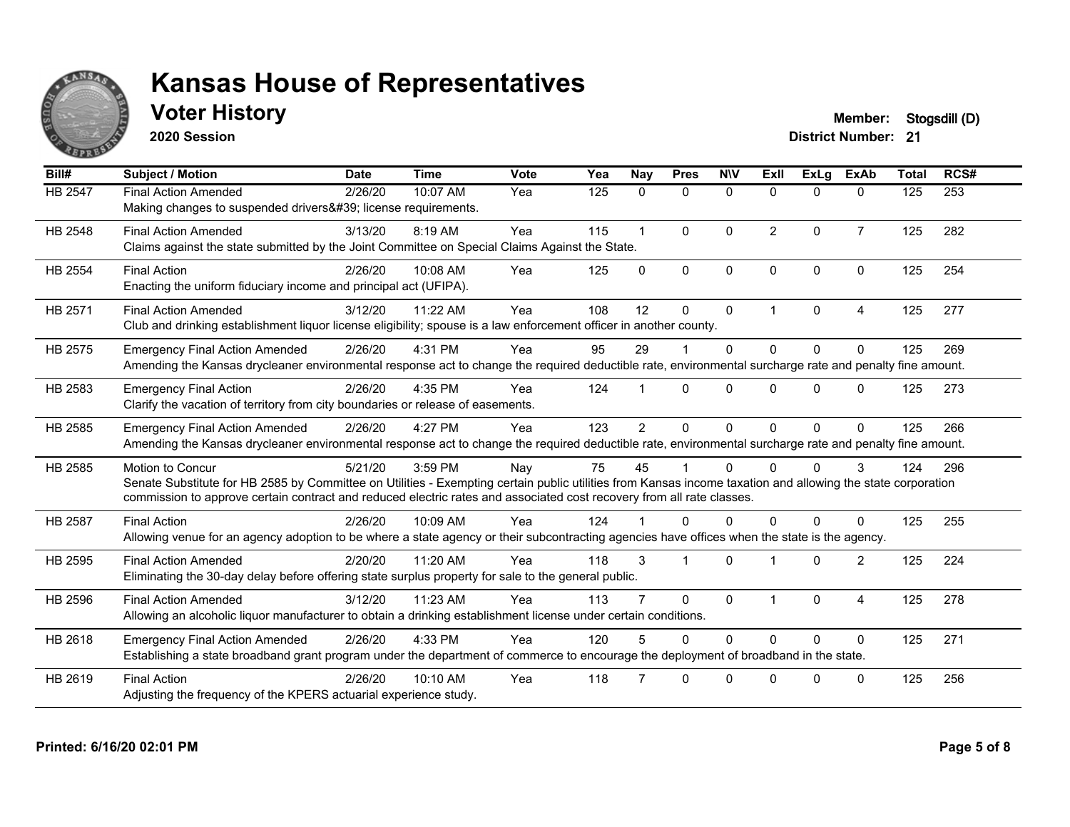

### **Voter History Member: Stogsdill** (D)

**2020 Session**

| Bill#          | <b>Subject / Motion</b>                                                                                                                                                                                                                                                                                  | <b>Date</b> | <b>Time</b> | Vote | Yea | Nay            | <b>Pres</b>  | <b>NIV</b>   | ExII           | <b>ExLa</b>  | <b>ExAb</b>    | <b>Total</b> | RCS# |
|----------------|----------------------------------------------------------------------------------------------------------------------------------------------------------------------------------------------------------------------------------------------------------------------------------------------------------|-------------|-------------|------|-----|----------------|--------------|--------------|----------------|--------------|----------------|--------------|------|
| HB 2547        | <b>Final Action Amended</b><br>Making changes to suspended drivers' license requirements.                                                                                                                                                                                                                | 2/26/20     | 10:07 AM    | Yea  | 125 | $\mathbf{0}$   | 0            | $\mathbf{0}$ | $\mathbf{0}$   | 0            | $\mathbf{0}$   | 125          | 253  |
| HB 2548        | <b>Final Action Amended</b><br>Claims against the state submitted by the Joint Committee on Special Claims Against the State.                                                                                                                                                                            | 3/13/20     | 8:19 AM     | Yea  | 115 |                | $\mathbf{0}$ | $\Omega$     | $\overline{2}$ | $\mathbf{0}$ | $\overline{7}$ | 125          | 282  |
| <b>HB 2554</b> | <b>Final Action</b><br>Enacting the uniform fiduciary income and principal act (UFIPA).                                                                                                                                                                                                                  | 2/26/20     | 10:08 AM    | Yea  | 125 | $\Omega$       | $\mathbf{0}$ | $\mathbf{0}$ | $\Omega$       | $\Omega$     | $\Omega$       | 125          | 254  |
| HB 2571        | <b>Final Action Amended</b><br>Club and drinking establishment liquor license eligibility; spouse is a law enforcement officer in another county.                                                                                                                                                        | 3/12/20     | 11:22 AM    | Yea  | 108 | 12             | $\Omega$     | $\Omega$     | 1              | $\Omega$     | 4              | 125          | 277  |
| HB 2575        | <b>Emergency Final Action Amended</b><br>Amending the Kansas drycleaner environmental response act to change the required deductible rate, environmental surcharge rate and penalty fine amount.                                                                                                         | 2/26/20     | 4:31 PM     | Yea  | 95  | 29             |              | $\Omega$     | $\Omega$       | $\Omega$     | $\Omega$       | 125          | 269  |
| HB 2583        | <b>Emergency Final Action</b><br>Clarify the vacation of territory from city boundaries or release of easements.                                                                                                                                                                                         | 2/26/20     | 4:35 PM     | Yea  | 124 |                | $\Omega$     | $\Omega$     | $\Omega$       | $\Omega$     | $\Omega$       | 125          | 273  |
| HB 2585        | <b>Emergency Final Action Amended</b><br>Amending the Kansas drycleaner environmental response act to change the required deductible rate, environmental surcharge rate and penalty fine amount.                                                                                                         | 2/26/20     | 4:27 PM     | Yea  | 123 | $\overline{2}$ | $\Omega$     | $\Omega$     | $\Omega$       | $\Omega$     | $\Omega$       | 125          | 266  |
| HB 2585        | Motion to Concur<br>Senate Substitute for HB 2585 by Committee on Utilities - Exempting certain public utilities from Kansas income taxation and allowing the state corporation<br>commission to approve certain contract and reduced electric rates and associated cost recovery from all rate classes. | 5/21/20     | 3:59 PM     | Nay  | 75  | 45             |              | $\Omega$     | 0              | 0            | 3              | 124          | 296  |
| <b>HB 2587</b> | <b>Final Action</b><br>Allowing venue for an agency adoption to be where a state agency or their subcontracting agencies have offices when the state is the agency.                                                                                                                                      | 2/26/20     | 10:09 AM    | Yea  | 124 |                | $\Omega$     | $\Omega$     | $\Omega$       | $\Omega$     | $\Omega$       | 125          | 255  |
| HB 2595        | <b>Final Action Amended</b><br>Eliminating the 30-day delay before offering state surplus property for sale to the general public.                                                                                                                                                                       | 2/20/20     | 11:20 AM    | Yea  | 118 | 3              |              | $\Omega$     |                | $\Omega$     | 2              | 125          | 224  |
| HB 2596        | <b>Final Action Amended</b><br>Allowing an alcoholic liquor manufacturer to obtain a drinking establishment license under certain conditions.                                                                                                                                                            | 3/12/20     | 11:23 AM    | Yea  | 113 |                | $\Omega$     | $\Omega$     |                | $\Omega$     | $\overline{4}$ | 125          | 278  |
| HB 2618        | <b>Emergency Final Action Amended</b><br>Establishing a state broadband grant program under the department of commerce to encourage the deployment of broadband in the state.                                                                                                                            | 2/26/20     | 4:33 PM     | Yea  | 120 |                | $\Omega$     | $\Omega$     | $\Omega$       | $\Omega$     | $\Omega$       | 125          | 271  |
| HB 2619        | <b>Final Action</b><br>Adjusting the frequency of the KPERS actuarial experience study.                                                                                                                                                                                                                  | 2/26/20     | 10:10 AM    | Yea  | 118 |                | $\Omega$     | $\Omega$     | $\Omega$       | $\Omega$     | $\Omega$       | 125          | 256  |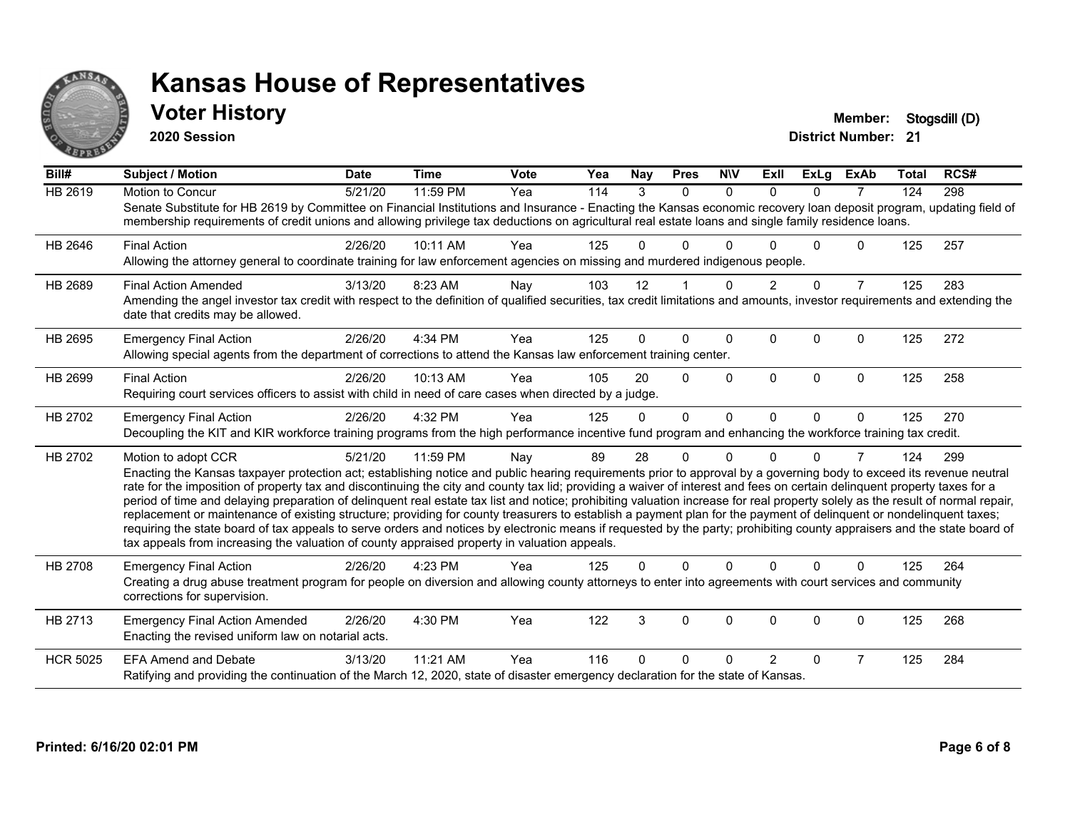

#### **Voter History Member: Stogsdill** (D)

**2020 Session**

| Bill#           | <b>Subject / Motion</b>                                                                                                                                                                                                                                                                                                                                                                                                                                                                                                                                                                                                                                                                                                                                                                                                                                                                                                                                                                                       | <b>Date</b> | <b>Time</b> | <b>Vote</b> | Yea | <b>Nay</b> | <b>Pres</b> | <b>NIV</b> | ExII           | <b>ExLg</b> | <b>ExAb</b>    | <b>Total</b> | RCS# |
|-----------------|---------------------------------------------------------------------------------------------------------------------------------------------------------------------------------------------------------------------------------------------------------------------------------------------------------------------------------------------------------------------------------------------------------------------------------------------------------------------------------------------------------------------------------------------------------------------------------------------------------------------------------------------------------------------------------------------------------------------------------------------------------------------------------------------------------------------------------------------------------------------------------------------------------------------------------------------------------------------------------------------------------------|-------------|-------------|-------------|-----|------------|-------------|------------|----------------|-------------|----------------|--------------|------|
| <b>HB 2619</b>  | <b>Motion to Concur</b><br>Senate Substitute for HB 2619 by Committee on Financial Institutions and Insurance - Enacting the Kansas economic recovery loan deposit program, updating field of<br>membership requirements of credit unions and allowing privilege tax deductions on agricultural real estate loans and single family residence loans.                                                                                                                                                                                                                                                                                                                                                                                                                                                                                                                                                                                                                                                          | 5/21/20     | 11:59 PM    | Yea         | 114 | 3          | $\Omega$    | $\Omega$   | $\Omega$       | $\Omega$    | $\overline{7}$ | 124          | 298  |
| HB 2646         | <b>Final Action</b><br>Allowing the attorney general to coordinate training for law enforcement agencies on missing and murdered indigenous people.                                                                                                                                                                                                                                                                                                                                                                                                                                                                                                                                                                                                                                                                                                                                                                                                                                                           | 2/26/20     | 10:11 AM    | Yea         | 125 | 0          | 0           | ∩          |                | U           | 0              | 125          | 257  |
| HB 2689         | <b>Final Action Amended</b><br>Amending the angel investor tax credit with respect to the definition of qualified securities, tax credit limitations and amounts, investor requirements and extending the<br>date that credits may be allowed.                                                                                                                                                                                                                                                                                                                                                                                                                                                                                                                                                                                                                                                                                                                                                                | 3/13/20     | 8:23 AM     | Nay         | 103 | 12         |             | $\Omega$   | $\overline{2}$ | $\Omega$    | $\overline{7}$ | 125          | 283  |
| HB 2695         | <b>Emergency Final Action</b><br>Allowing special agents from the department of corrections to attend the Kansas law enforcement training center.                                                                                                                                                                                                                                                                                                                                                                                                                                                                                                                                                                                                                                                                                                                                                                                                                                                             | 2/26/20     | 4:34 PM     | Yea         | 125 | 0          | $\Omega$    | $\Omega$   | $\Omega$       | $\Omega$    | $\Omega$       | 125          | 272  |
| HB 2699         | <b>Final Action</b><br>Requiring court services officers to assist with child in need of care cases when directed by a judge.                                                                                                                                                                                                                                                                                                                                                                                                                                                                                                                                                                                                                                                                                                                                                                                                                                                                                 | 2/26/20     | 10:13 AM    | Yea         | 105 | 20         | $\Omega$    | $\Omega$   | $\Omega$       | $\Omega$    | $\Omega$       | 125          | 258  |
| HB 2702         | <b>Emergency Final Action</b><br>Decoupling the KIT and KIR workforce training programs from the high performance incentive fund program and enhancing the workforce training tax credit.                                                                                                                                                                                                                                                                                                                                                                                                                                                                                                                                                                                                                                                                                                                                                                                                                     | 2/26/20     | 4:32 PM     | Yea         | 125 | $\Omega$   | $\Omega$    | $\Omega$   | $\Omega$       | $\Omega$    | $\mathbf{0}$   | 125          | 270  |
| HB 2702         | Motion to adopt CCR<br>Enacting the Kansas taxpayer protection act; establishing notice and public hearing requirements prior to approval by a governing body to exceed its revenue neutral<br>rate for the imposition of property tax and discontinuing the city and county tax lid; providing a waiver of interest and fees on certain delinquent property taxes for a<br>period of time and delaying preparation of delinquent real estate tax list and notice; prohibiting valuation increase for real property solely as the result of normal repair,<br>replacement or maintenance of existing structure; providing for county treasurers to establish a payment plan for the payment of delinquent or nondelinquent taxes;<br>requiring the state board of tax appeals to serve orders and notices by electronic means if requested by the party; prohibiting county appraisers and the state board of<br>tax appeals from increasing the valuation of county appraised property in valuation appeals. | 5/21/20     | 11:59 PM    | Nay         | 89  | 28         | 0           | $\Omega$   | U              | 0           | 7              | 124          | 299  |
| HB 2708         | <b>Emergency Final Action</b><br>Creating a drug abuse treatment program for people on diversion and allowing county attorneys to enter into agreements with court services and community<br>corrections for supervision.                                                                                                                                                                                                                                                                                                                                                                                                                                                                                                                                                                                                                                                                                                                                                                                     | 2/26/20     | 4:23 PM     | Yea         | 125 | 0          | $\Omega$    | $\Omega$   | $\Omega$       | $\Omega$    | $\Omega$       | 125          | 264  |
| HB 2713         | <b>Emergency Final Action Amended</b><br>Enacting the revised uniform law on notarial acts.                                                                                                                                                                                                                                                                                                                                                                                                                                                                                                                                                                                                                                                                                                                                                                                                                                                                                                                   | 2/26/20     | 4:30 PM     | Yea         | 122 | 3          | 0           | 0          | $\Omega$       | 0           | 0              | 125          | 268  |
| <b>HCR 5025</b> | <b>EFA Amend and Debate</b><br>Ratifying and providing the continuation of the March 12, 2020, state of disaster emergency declaration for the state of Kansas.                                                                                                                                                                                                                                                                                                                                                                                                                                                                                                                                                                                                                                                                                                                                                                                                                                               | 3/13/20     | 11:21 AM    | Yea         | 116 | O          | 0           | ∩          | $\overline{2}$ | $\Omega$    | $\overline{7}$ | 125          | 284  |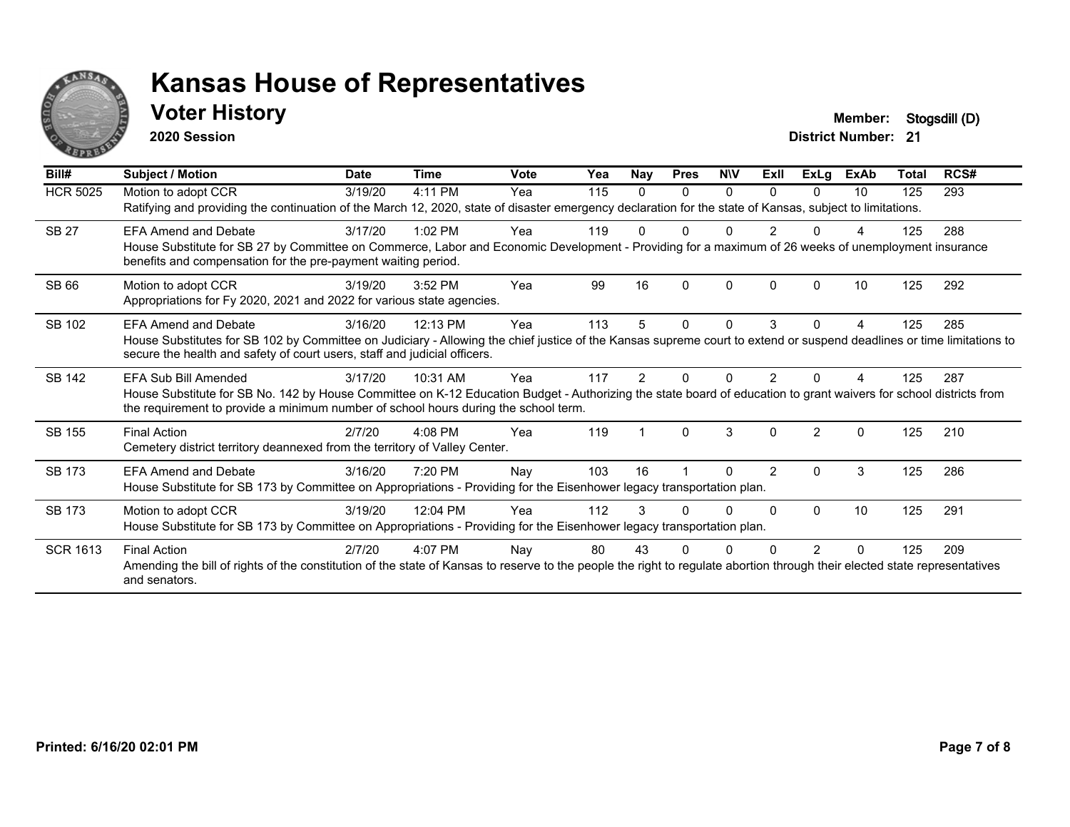

#### **Voter History Member: Stogsdill** (D)

**2020 Session**

| Bill#           | Subject / Motion                                                                                                                                                                                                                                         | <b>Date</b> | <b>Time</b> | Vote | Yea | Nay | <b>Pres</b> | <b>NIV</b> | Exll           | ExLg           | <b>ExAb</b> | <b>Total</b> | RCS# |
|-----------------|----------------------------------------------------------------------------------------------------------------------------------------------------------------------------------------------------------------------------------------------------------|-------------|-------------|------|-----|-----|-------------|------------|----------------|----------------|-------------|--------------|------|
| <b>HCR 5025</b> | Motion to adopt CCR                                                                                                                                                                                                                                      | 3/19/20     | 4:11 PM     | Yea  | 115 | 0   | 0           | 0          | $\Omega$       | 0              | 10          | 125          | 293  |
|                 | Ratifying and providing the continuation of the March 12, 2020, state of disaster emergency declaration for the state of Kansas, subject to limitations.                                                                                                 |             |             |      |     |     |             |            |                |                |             |              |      |
| <b>SB 27</b>    | <b>EFA Amend and Debate</b>                                                                                                                                                                                                                              | 3/17/20     | $1:02$ PM   | Yea  | 119 | 0   | 0           |            |                |                |             | 125          | 288  |
|                 | House Substitute for SB 27 by Committee on Commerce, Labor and Economic Development - Providing for a maximum of 26 weeks of unemployment insurance<br>benefits and compensation for the pre-payment waiting period.                                     |             |             |      |     |     |             |            |                |                |             |              |      |
| SB 66           | Motion to adopt CCR                                                                                                                                                                                                                                      | 3/19/20     | 3:52 PM     | Yea  | 99  | 16  | 0           | 0          | 0              |                | 10          | 125          | 292  |
|                 | Appropriations for Fy 2020, 2021 and 2022 for various state agencies.                                                                                                                                                                                    |             |             |      |     |     |             |            |                |                |             |              |      |
| SB 102          | <b>EFA Amend and Debate</b>                                                                                                                                                                                                                              | 3/16/20     | 12:13 PM    | Yea  | 113 | 5   | 0           | $\Omega$   | 3              | 0              | 4           | 125          | 285  |
|                 | House Substitutes for SB 102 by Committee on Judiciary - Allowing the chief justice of the Kansas supreme court to extend or suspend deadlines or time limitations to<br>secure the health and safety of court users, staff and judicial officers.       |             |             |      |     |     |             |            |                |                |             |              |      |
| SB 142          | EFA Sub Bill Amended                                                                                                                                                                                                                                     | 3/17/20     | 10:31 AM    | Yea  | 117 | 2   | O           | n          | 2              |                |             | 125          | 287  |
|                 | House Substitute for SB No. 142 by House Committee on K-12 Education Budget - Authorizing the state board of education to grant waivers for school districts from<br>the requirement to provide a minimum number of school hours during the school term. |             |             |      |     |     |             |            |                |                |             |              |      |
| SB 155          | <b>Final Action</b>                                                                                                                                                                                                                                      | 2/7/20      | $4:08$ PM   | Yea  | 119 |     | 0           | 3          | $\Omega$       | $\mathfrak{p}$ | $\Omega$    | 125          | 210  |
|                 | Cemetery district territory deannexed from the territory of Valley Center.                                                                                                                                                                               |             |             |      |     |     |             |            |                |                |             |              |      |
| <b>SB 173</b>   | <b>EFA Amend and Debate</b>                                                                                                                                                                                                                              | 3/16/20     | 7:20 PM     | Nay  | 103 | 16  |             | $\Omega$   | $\overline{2}$ | 0              | 3           | 125          | 286  |
|                 | House Substitute for SB 173 by Committee on Appropriations - Providing for the Eisenhower legacy transportation plan.                                                                                                                                    |             |             |      |     |     |             |            |                |                |             |              |      |
| <b>SB 173</b>   | Motion to adopt CCR                                                                                                                                                                                                                                      | 3/19/20     | 12:04 PM    | Yea  | 112 | 3   |             | n          | <sup>0</sup>   | $\Omega$       | 10          | 125          | 291  |
|                 | House Substitute for SB 173 by Committee on Appropriations - Providing for the Eisenhower legacy transportation plan.                                                                                                                                    |             |             |      |     |     |             |            |                |                |             |              |      |
| <b>SCR 1613</b> | <b>Final Action</b>                                                                                                                                                                                                                                      | 2/7/20      | $4:07$ PM   | Nay  | 80  | 43  |             |            |                |                | ∩           | 125          | 209  |
|                 | Amending the bill of rights of the constitution of the state of Kansas to reserve to the people the right to regulate abortion through their elected state representatives<br>and senators.                                                              |             |             |      |     |     |             |            |                |                |             |              |      |